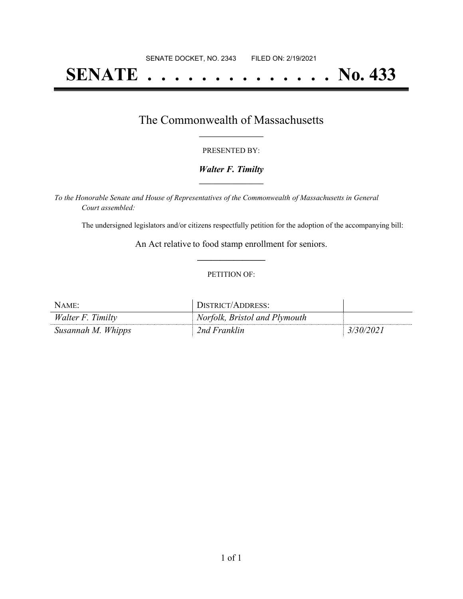# **SENATE . . . . . . . . . . . . . . No. 433**

### The Commonwealth of Massachusetts **\_\_\_\_\_\_\_\_\_\_\_\_\_\_\_\_\_**

#### PRESENTED BY:

#### *Walter F. Timilty* **\_\_\_\_\_\_\_\_\_\_\_\_\_\_\_\_\_**

*To the Honorable Senate and House of Representatives of the Commonwealth of Massachusetts in General Court assembled:*

The undersigned legislators and/or citizens respectfully petition for the adoption of the accompanying bill:

An Act relative to food stamp enrollment for seniors. **\_\_\_\_\_\_\_\_\_\_\_\_\_\_\_**

#### PETITION OF:

| $NAME$ :           | DISTRICT/ADDRESS:             |           |
|--------------------|-------------------------------|-----------|
| Walter F. Timilty  | Norfolk, Bristol and Plymouth |           |
| Susannah M. Whipps | 2nd Franklin                  | 3/30/2021 |